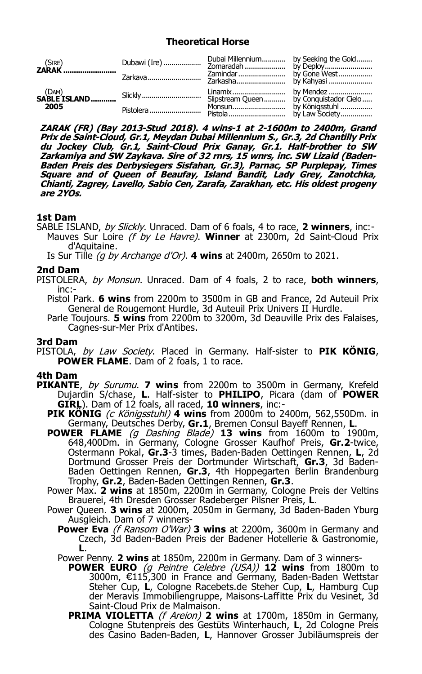# **Theoretical Horse**

| 2005 |  |  |
|------|--|--|

**ZARAK (FR) (Bay 2013-Stud 2018). 4 wins-1 at 2-1600m to 2400m, Grand Prix de Saint-Cloud, Gr.1, Meydan Dubai Millennium S., Gr.3, 2d Chantilly Prix du Jockey Club, Gr.1, Saint-Cloud Prix Ganay, Gr.1. Half-brother to SW Zarkamiya and SW Zaykava. Sire of 32 rnrs, 15 wnrs, inc. SW Lizaid (Baden-Baden Preis des Derbysiegers Sisfahan, Gr.3), Parnac, SP Purplepay, Times Square and of Queen of Beaufay, Island Bandit, Lady Grey, Zanotchka, Chianti, Zagrey, Lavello, Sabio Cen, Zarafa, Zarakhan, etc. His oldest progeny are 2YOs.**

# **1st Dam**

SABLE ISLAND, by Slickly. Unraced. Dam of 6 foals, 4 to race, **2 winners**, inc:- Mauves Sur Loire (f by Le Havre). **Winner** at 2300m, 2d Saint-Cloud Prix d'Aquitaine.

Is Sur Tille (g by Archange d'Or). **4 wins** at 2400m, 2650m to 2021.

# **2nd Dam**

PISTOLERA, by Monsun. Unraced. Dam of 4 foals, 2 to race, **both winners**, inc:-

Pistol Park. **6 wins** from 2200m to 3500m in GB and France, 2d Auteuil Prix General de Rougemont Hurdle, 3d Auteuil Prix Univers II Hurdle.

Parle Toujours. **5 wins** from 2200m to 3200m, 3d Deauville Prix des Falaises, Cagnes-sur-Mer Prix d'Antibes.

# **3rd Dam**

PISTOLA, by Law Society. Placed in Germany. Half-sister to **PIK KÖNIG**, **POWER FLAME.** Dam of 2 foals, 1 to race.

# **4th Dam**

- **PIKANTE**, by Surumu. **7 wins** from 2200m to 3500m in Germany, Krefeld Dujardin S/chase, **L**. Half-sister to **PHILIPO**, Picara (dam of **POWER GIRL**). Dam of 12 foals, all raced, **10 winners**, inc:-
	- **PIK KÖNIG** (c Königsstuhl) **4 wins** from 2000m to 2400m, 562,550Dm. in Germany, Deutsches Derby, **Gr.1**, Bremen Consul Bayeff Rennen, **L**.
	- **POWER FLAME** (g Dashing Blade) **13 wins** from 1600m to 1900m, 648,400Dm. in Germany, Cologne Grosser Kaufhof Preis, **Gr.2**-twice, Ostermann Pokal, **Gr.3**-3 times, Baden-Baden Oettingen Rennen, **L**, 2d Dortmund Grosser Preis der Dortmunder Wirtschaft, **Gr.3**, 3d Baden-Baden Oettingen Rennen, **Gr.3**, 4th Hoppegarten Berlin Brandenburg Trophy, **Gr.2**, Baden-Baden Oettingen Rennen, **Gr.3**.
	- Power Max. **2 wins** at 1850m, 2200m in Germany, Cologne Preis der Veltins Brauerei, 4th Dresden Grosser Radeberger Pilsner Preis, **L**.
	- Power Queen. **3 wins** at 2000m, 2050m in Germany, 3d Baden-Baden Yburg Ausgleich. Dam of 7 winners-
		- **Power Eva** (f Ransom O'War) **3 wins** at 2200m, 3600m in Germany and Czech, 3d Baden-Baden Preis der Badener Hotellerie & Gastronomie, **L**.
		- Power Penny. **2 wins** at 1850m, 2200m in Germany. Dam of 3 winners-
			- **POWER EURO** (g Peintre Celebre (USA)) **12 wins** from 1800m to 3000m, €115,300 in France and Germany, Baden-Baden Wettstar Steher Cup, **L**, Cologne Racebets.de Steher Cup, **L**, Hamburg Cup der Meravis Immobiliengruppe, Maisons-Laffitte Prix du Vesinet, 3d Saint-Cloud Prix de Malmaison.
			- **PRIMA VIOLETTA** (f Areion) **2 wins** at 1700m, 1850m in Germany, Cologne Stutenpreis des Gestüts Winterhauch, **L**, 2d Cologne Preis des Casino Baden-Baden, **L**, Hannover Grosser Jubiläumspreis der